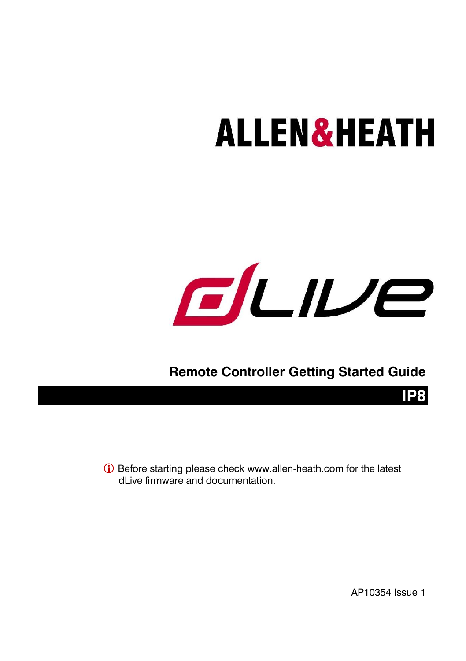# **ALLEN&HEATH**



### **Remote Controller Getting Started Guide**

 Before starting please check [www.allen-heath.com](http://www.allen-heath.com/) for the latest dl ive firmware and documentation.

AP10354 Issue 1

**IP8**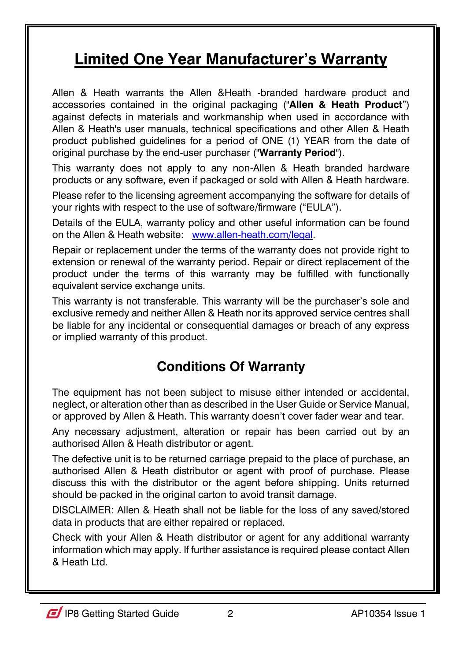### **Limited One Year Manufacturer's Warranty**

Allen & Heath warrants the Allen &Heath -branded hardware product and accessories contained in the original packaging ("**Allen & Heath Product**") against defects in materials and workmanship when used in accordance with Allen & Heath's user manuals, technical specifications and other Allen & Heath product published guidelines for a period of ONE (1) YEAR from the date of original purchase by the end-user purchaser ("**Warranty Period**").

This warranty does not apply to any non-Allen & Heath branded hardware products or any software, even if packaged or sold with Allen & Heath hardware.

Please refer to the licensing agreement accompanying the software for details of your rights with respect to the use of software/firmware ("EULA").

Details of the EULA, warranty policy and other useful information can be found on the Allen & Heath website: [www.allen-heath.com/legal.](http://www.allen-heath.com/legal)

Repair or replacement under the terms of the warranty does not provide right to extension or renewal of the warranty period. Repair or direct replacement of the product under the terms of this warranty may be fulfilled with functionally equivalent service exchange units.

This warranty is not transferable. This warranty will be the purchaser's sole and exclusive remedy and neither Allen & Heath nor its approved service centres shall be liable for any incidental or consequential damages or breach of any express or implied warranty of this product.

### **Conditions Of Warranty**

The equipment has not been subject to misuse either intended or accidental, neglect, or alteration other than as described in the User Guide or Service Manual, or approved by Allen & Heath. This warranty doesn't cover fader wear and tear.

Any necessary adjustment, alteration or repair has been carried out by an authorised Allen & Heath distributor or agent.

The defective unit is to be returned carriage prepaid to the place of purchase, an authorised Allen & Heath distributor or agent with proof of purchase. Please discuss this with the distributor or the agent before shipping. Units returned should be packed in the original carton to avoid transit damage.

DISCLAIMER: Allen & Heath shall not be liable for the loss of any saved/stored data in products that are either repaired or replaced.

Check with your Allen & Heath distributor or agent for any additional warranty information which may apply. If further assistance is required please contact Allen & Heath Ltd.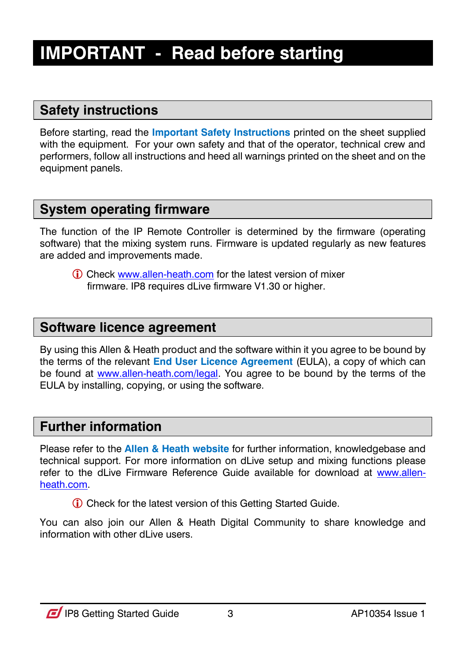### <span id="page-2-0"></span>**IMPORTANT - Read before starting**

### **Safety instructions**

Before starting, read the **Important Safety Instructions** printed on the sheet supplied with the equipment. For your own safety and that of the operator, technical crew and performers, follow all instructions and heed all warnings printed on the sheet and on the equipment panels.

### **System operating firmware**

The function of the IP Remote Controller is determined by the firmware (operating software) that the mixing system runs. Firmware is updated regularly as new features are added and improvements made.

 Check [www.allen-heath.com](http://www.allen-heath.com/) for the latest version of mixer firmware. IP8 requires dLive firmware V1.30 or higher.

#### **Software licence agreement**

By using this Allen & Heath product and the software within it you agree to be bound by the terms of the relevant **End User Licence Agreement** (EULA), a copy of which can be found at [www.allen-heath.com/legal.](http://www.allen-heath.com/legal) You agree to be bound by the terms of the EULA by installing, copying, or using the software.

#### **Further information**

Please refer to the **Allen & Heath website** for further information, knowledgebase and technical support. For more information on dLive setup and mixing functions please refer to the dLive Firmware Reference Guide available for download at [www.allen](http://www.allen-heath.com/)[heath.com.](http://www.allen-heath.com/)

Check for the latest version of this Getting Started Guide.

You can also join our Allen & Heath Digital Community to share knowledge and information with other dLive users.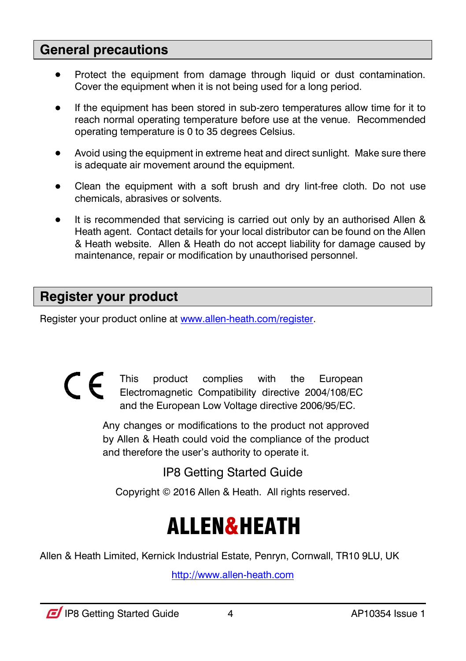#### **General precautions**

- Protect the equipment from damage through liquid or dust contamination. Cover the equipment when it is not being used for a long period.
- If the equipment has been stored in sub-zero temperatures allow time for it to reach normal operating temperature before use at the venue. Recommended operating temperature is 0 to 35 degrees Celsius.
- Avoid using the equipment in extreme heat and direct sunlight. Make sure there is adequate air movement around the equipment.
- Clean the equipment with a soft brush and dry lint-free cloth. Do not use chemicals, abrasives or solvents.
- It is recommended that servicing is carried out only by an authorised Allen & Heath agent. Contact details for your local distributor can be found on the Allen & Heath website. Allen & Heath do not accept liability for damage caused by maintenance, repair or modification by unauthorised personnel.

### **Register your product**

Register your product online a[t www.allen-heath.com/register.](http://www.allen-heath.com/register)

 $\epsilon$ This product complies with the European Electromagnetic Compatibility directive 2004/108/EC and the European Low Voltage directive 2006/95/EC.

> Any changes or modifications to the product not approved by Allen & Heath could void the compliance of the product and therefore the user's authority to operate it.

> > IP8 Getting Started Guide

Copyright © 2016 Allen & Heath. All rights reserved.

# ALLEN&HEATH

Allen & Heath Limited, Kernick Industrial Estate, Penryn, Cornwall, TR10 9LU, UK

[http://www.allen-heath.com](http://www.allen-heath.com/)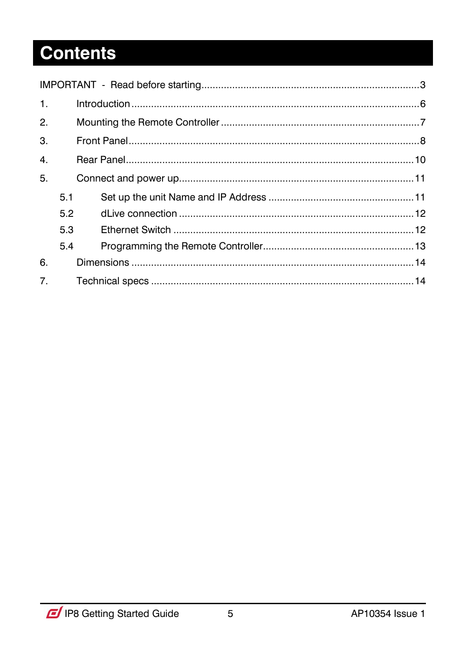# **Contents**

<span id="page-4-0"></span>

| $\mathbf{1}$ . |     |  |  |  |
|----------------|-----|--|--|--|
| 2.             |     |  |  |  |
| 3.             |     |  |  |  |
| 4.             |     |  |  |  |
| 5.             |     |  |  |  |
|                | 5.1 |  |  |  |
|                | 5.2 |  |  |  |
|                | 5.3 |  |  |  |
|                | 5.4 |  |  |  |
| 6.             |     |  |  |  |
| 7 <sub>1</sub> |     |  |  |  |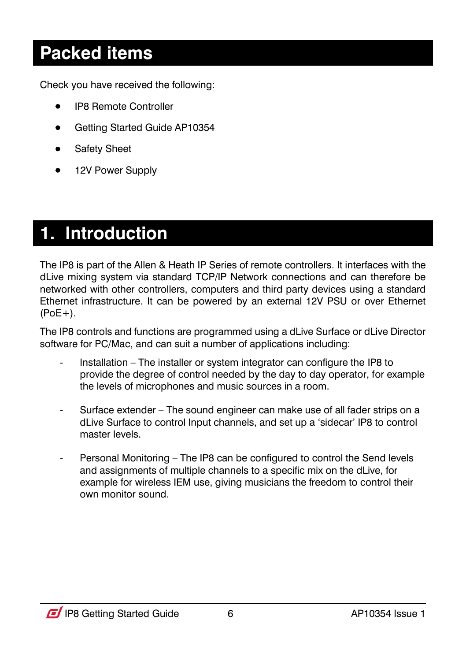### **Packed items**

Check you have received the following:

- IP8 Remote Controller
- Getting Started Guide AP10354
- **•** Safety Sheet
- 12V Power Supply

### **1. Introduction**

The IP8 is part of the Allen & Heath IP Series of remote controllers. It interfaces with the dLive mixing system via standard TCP/IP Network connections and can therefore be networked with other controllers, computers and third party devices using a standard Ethernet infrastructure. It can be powered by an external 12V PSU or over Ethernet  $(PoE+)$ .

The IP8 controls and functions are programmed using a dLive Surface or dLive Director software for PC/Mac, and can suit a number of applications including:

- Installation The installer or system integrator can configure the IP8 to provide the degree of control needed by the day to day operator, for example the levels of microphones and music sources in a room.
- Surface extender The sound engineer can make use of all fader strips on a dLive Surface to control Input channels, and set up a 'sidecar' IP8 to control master levels.
- Personal Monitoring The IP8 can be configured to control the Send levels and assignments of multiple channels to a specific mix on the dLive, for example for wireless IEM use, giving musicians the freedom to control their own monitor sound.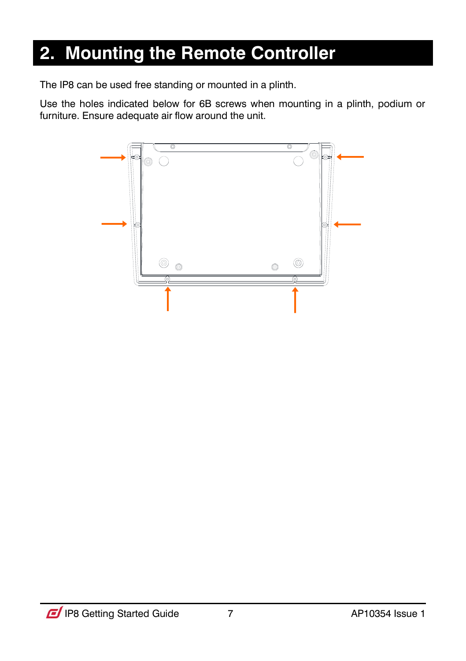### <span id="page-6-0"></span>**2. Mounting the Remote Controller**

The IP8 can be used free standing or mounted in a plinth.

Use the holes indicated below for 6B screws when mounting in a plinth, podium or furniture. Ensure adequate air flow around the unit.

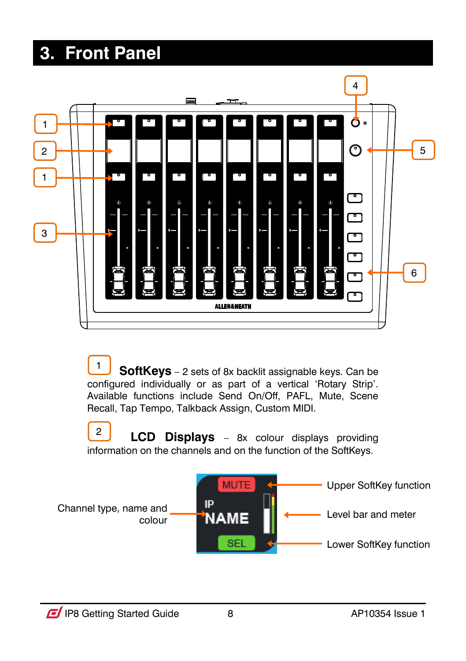### <span id="page-7-0"></span>**3. Front Panel**



 **SoftKeys** – 2 sets of 8x backlit assignable keys. Can be configured individually or as part of a vertical 'Rotary Strip'. Available functions include Send On/Off, PAFL, Mute, Scene Recall, Tap Tempo, Talkback Assign, Custom MIDI. 1

 **LCD Displays** – 8x colour displays providing information on the channels and on the function of the SoftKeys. 2

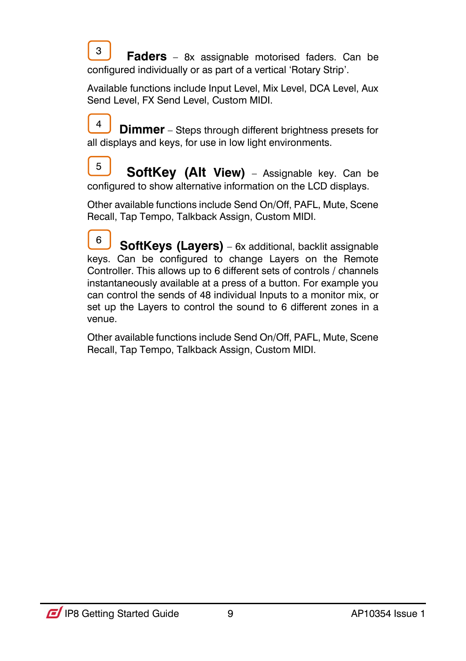**Faders** – 8x assignable motorised faders. Can be configured individually or as part of a vertical 'Rotary Strip'. 3

Available functions include Input Level, Mix Level, DCA Level, Aux Send Level, FX Send Level, Custom MIDI.

**Dimmer** – Steps through different brightness presets for all displays and keys, for use in low light environments. 4

 **SoftKey (Alt View)** – Assignable key. Can be configured to show alternative information on the LCD displays. 5

Other available functions include Send On/Off, PAFL, Mute, Scene Recall, Tap Tempo, Talkback Assign, Custom MIDI.

 **SoftKeys (Layers)** – 6x additional, backlit assignable keys. Can be configured to change Layers on the Remote Controller. This allows up to 6 different sets of controls / channels instantaneously available at a press of a button. For example you can control the sends of 48 individual Inputs to a monitor mix, or set up the Layers to control the sound to 6 different zones in a venue. 6

<span id="page-8-0"></span>Other available functions include Send On/Off, PAFL, Mute, Scene Recall, Tap Tempo, Talkback Assign, Custom MIDI.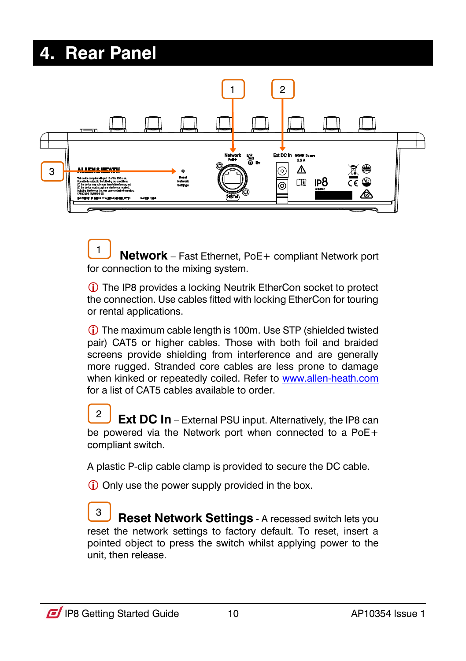### **4. Rear Panel**



 **Network** – Fast Ethernet, PoE+ compliant Network port for connection to the mixing system. 1

 The IP8 provides a locking Neutrik EtherCon socket to protect the connection. Use cables fitted with locking EtherCon for touring or rental applications.

 The maximum cable length is 100m. Use STP (shielded twisted pair) CAT5 or higher cables. Those with both foil and braided screens provide shielding from interference and are generally more rugged. Stranded core cables are less prone to damage when kinked or repeatedly coiled. Refer to [www.allen-heath.com](http://www.allen-heath.com/) for a list of CAT5 cables available to order

**Ext DC In** – External PSU input. Alternatively, the IP8 can be powered via the Network port when connected to a PoE+ compliant switch. 2

A plastic P-clip cable clamp is provided to secure the DC cable.

Only use the power supply provided in the box.

**Reset Network Settings** - A recessed switch lets you reset the network settings to factory default. To reset, insert a pointed object to press the switch whilst applying power to the unit, then release. 3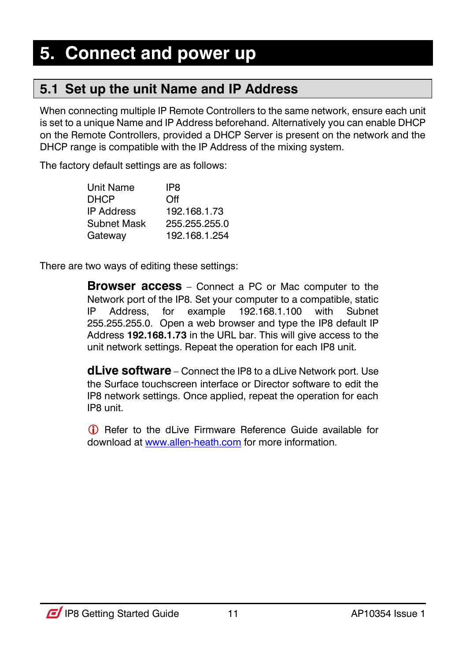### <span id="page-10-1"></span><span id="page-10-0"></span>**5.1 Set up the unit Name and IP Address**

When connecting multiple IP Remote Controllers to the same network, ensure each unit is set to a unique Name and IP Address beforehand. Alternatively you can enable DHCP on the Remote Controllers, provided a DHCP Server is present on the network and the DHCP range is compatible with the IP Address of the mixing system.

The factory default settings are as follows:

| Unit Name         | IP8           |
|-------------------|---------------|
| DHCP              | Off           |
| <b>IP Address</b> | 192.168.1.73  |
| Subnet Mask       | 255.255.255.0 |
| Gateway           | 192.168.1.254 |

There are two ways of editing these settings:

**Browser access** – Connect a PC or Mac computer to the Network port of the IP8. Set your computer to a compatible, static IP Address, for example 192.168.1.100 with Subnet 255.255.255.0. Open a web browser and type the IP8 default IP Address **192.168.1.73** in the URL bar. This will give access to the unit network settings. Repeat the operation for each IP8 unit.

**dLive software** – Connect the IP8 to a dLive Network port. Use the Surface touchscreen interface or Director software to edit the IP8 network settings. Once applied, repeat the operation for each IP8 unit.

<span id="page-10-2"></span> Refer to the dLive Firmware Reference Guide available for download a[t www.allen-heath.com](http://www.allen-heath.com/) for more information.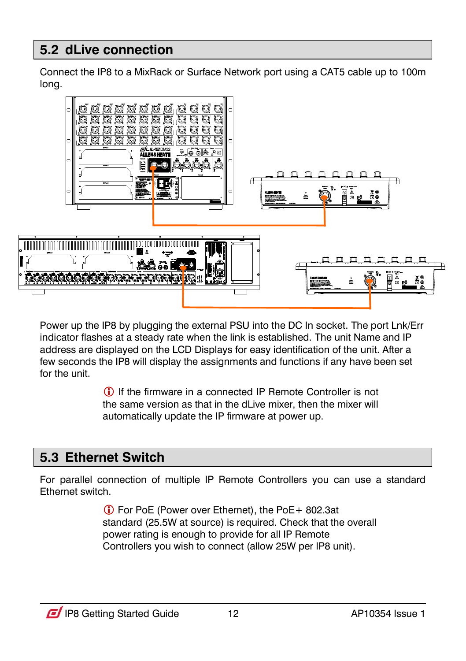### **5.2 dLive connection**

Connect the IP8 to a MixRack or Surface Network port using a CAT5 cable up to 100m long.



Power up the IP8 by plugging the external PSU into the DC In socket. The port Lnk/Err indicator flashes at a steady rate when the link is established. The unit Name and IP address are displayed on the LCD Displays for easy identification of the unit. After a few seconds the IP8 will display the assignments and functions if any have been set for the unit.

> If the firmware in a connected IP Remote Controller is not the same version as that in the dLive mixer, then the mixer will automatically update the IP firmware at power up.

### <span id="page-11-0"></span>**5.3 Ethernet Switch**

For parallel connection of multiple IP Remote Controllers you can use a standard Ethernet switch.

> For PoE (Power over Ethernet), the PoE+ 802.3at standard (25.5W at source) is required. Check that the overall power rating is enough to provide for all IP Remote Controllers you wish to connect (allow 25W per IP8 unit).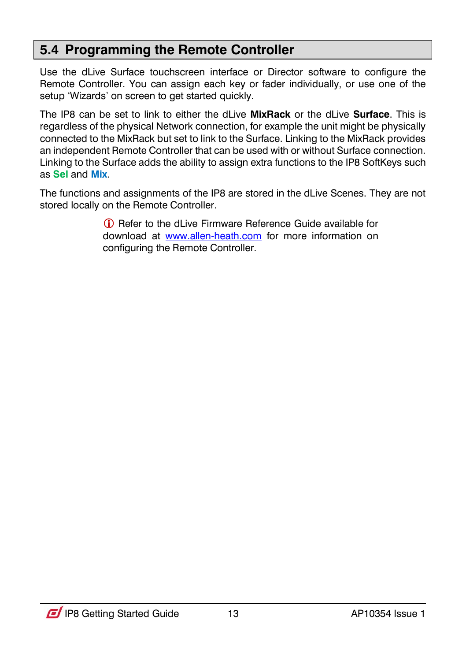### <span id="page-12-0"></span>**5.4 Programming the Remote Controller**

Use the dLive Surface touchscreen interface or Director software to configure the Remote Controller. You can assign each key or fader individually, or use one of the setup 'Wizards' on screen to get started quickly.

The IP8 can be set to link to either the dLive **MixRack** or the dLive **Surface**. This is regardless of the physical Network connection, for example the unit might be physically connected to the MixRack but set to link to the Surface. Linking to the MixRack provides an independent Remote Controller that can be used with or without Surface connection. Linking to the Surface adds the ability to assign extra functions to the IP8 SoftKeys such as **Sel** and **Mix**.

The functions and assignments of the IP8 are stored in the dLive Scenes. They are not stored locally on the Remote Controller.

> Refer to the dLive Firmware Reference Guide available for download at [www.allen-heath.com](http://www.allen-heath.com/) for more information on configuring the Remote Controller.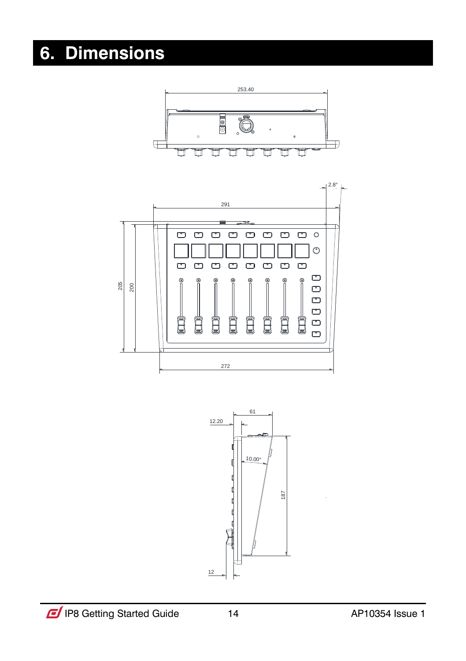## <span id="page-13-1"></span><span id="page-13-0"></span>**6. Dimensions**